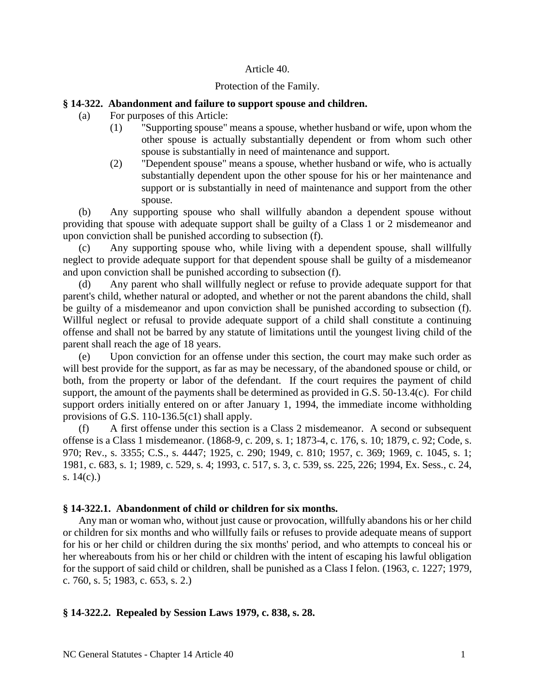## Article 40.

## Protection of the Family.

#### **§ 14-322. Abandonment and failure to support spouse and children.**

- (a) For purposes of this Article:
	- (1) "Supporting spouse" means a spouse, whether husband or wife, upon whom the other spouse is actually substantially dependent or from whom such other spouse is substantially in need of maintenance and support.
	- (2) "Dependent spouse" means a spouse, whether husband or wife, who is actually substantially dependent upon the other spouse for his or her maintenance and support or is substantially in need of maintenance and support from the other spouse.

(b) Any supporting spouse who shall willfully abandon a dependent spouse without providing that spouse with adequate support shall be guilty of a Class 1 or 2 misdemeanor and upon conviction shall be punished according to subsection (f).

(c) Any supporting spouse who, while living with a dependent spouse, shall willfully neglect to provide adequate support for that dependent spouse shall be guilty of a misdemeanor and upon conviction shall be punished according to subsection (f).

(d) Any parent who shall willfully neglect or refuse to provide adequate support for that parent's child, whether natural or adopted, and whether or not the parent abandons the child, shall be guilty of a misdemeanor and upon conviction shall be punished according to subsection (f). Willful neglect or refusal to provide adequate support of a child shall constitute a continuing offense and shall not be barred by any statute of limitations until the youngest living child of the parent shall reach the age of 18 years.

(e) Upon conviction for an offense under this section, the court may make such order as will best provide for the support, as far as may be necessary, of the abandoned spouse or child, or both, from the property or labor of the defendant. If the court requires the payment of child support, the amount of the payments shall be determined as provided in G.S. 50-13.4(c). For child support orders initially entered on or after January 1, 1994, the immediate income withholding provisions of G.S. 110-136.5(c1) shall apply.

(f) A first offense under this section is a Class 2 misdemeanor. A second or subsequent offense is a Class 1 misdemeanor. (1868-9, c. 209, s. 1; 1873-4, c. 176, s. 10; 1879, c. 92; Code, s. 970; Rev., s. 3355; C.S., s. 4447; 1925, c. 290; 1949, c. 810; 1957, c. 369; 1969, c. 1045, s. 1; 1981, c. 683, s. 1; 1989, c. 529, s. 4; 1993, c. 517, s. 3, c. 539, ss. 225, 226; 1994, Ex. Sess., c. 24, s.  $14(c)$ .)

## **§ 14-322.1. Abandonment of child or children for six months.**

Any man or woman who, without just cause or provocation, willfully abandons his or her child or children for six months and who willfully fails or refuses to provide adequate means of support for his or her child or children during the six months' period, and who attempts to conceal his or her whereabouts from his or her child or children with the intent of escaping his lawful obligation for the support of said child or children, shall be punished as a Class I felon. (1963, c. 1227; 1979, c. 760, s. 5; 1983, c. 653, s. 2.)

### **§ 14-322.2. Repealed by Session Laws 1979, c. 838, s. 28.**